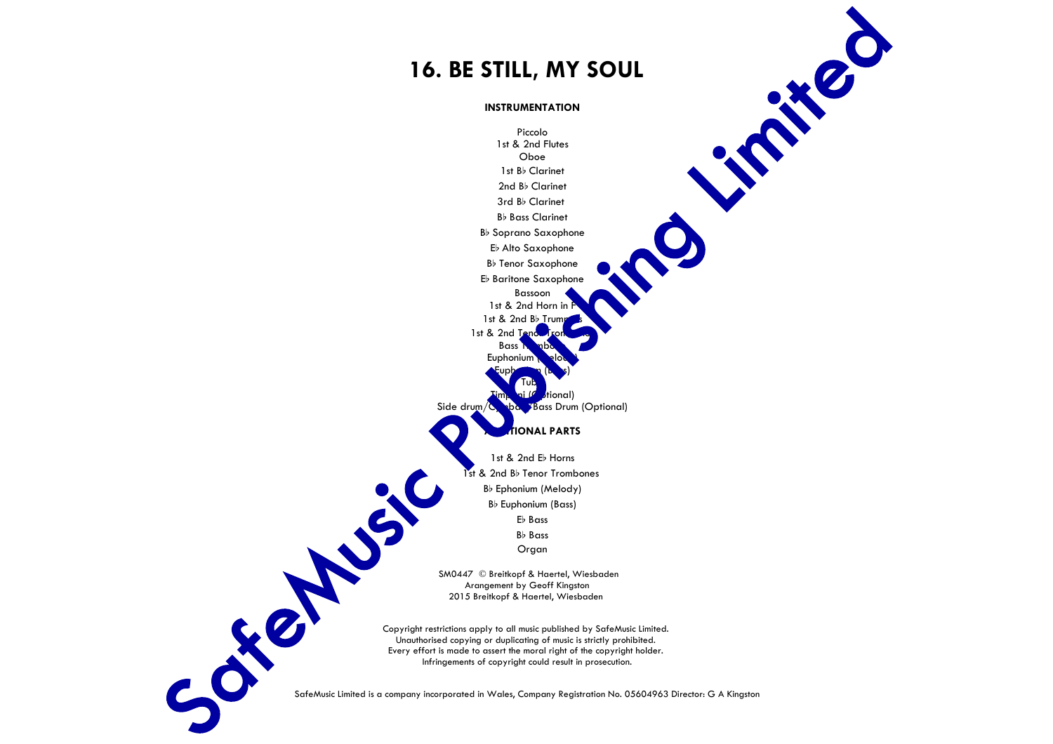